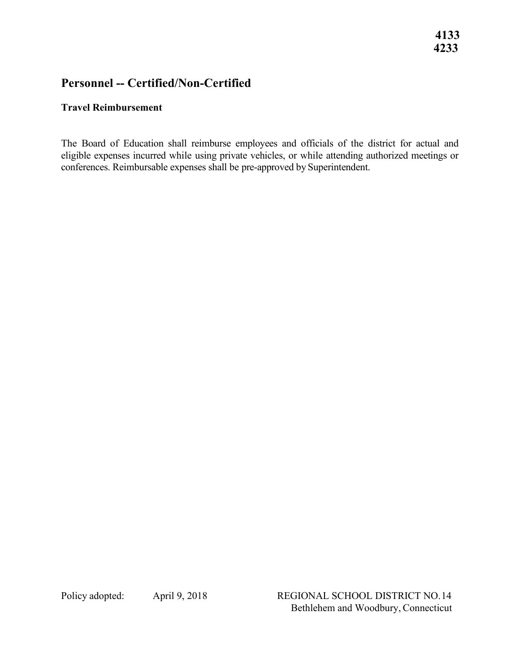## **Personnel -- Certified/Non-Certified**

## **Travel Reimbursement**

 eligible expenses incurred while using private vehicles, or while attending authorized meetings or The Board of Education shall reimburse employees and officials of the district for actual and conferences. Reimbursable expenses shall be pre-approved by Superintendent.